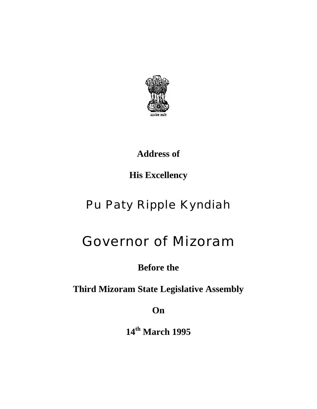

**Address of** 

**His Excellency**

## Pu Paty Ripple Kyndiah

## Governor of Mizoram

**Before the** 

**Third Mizoram State Legislative Assembly** 

**On** 

**14th March 1995**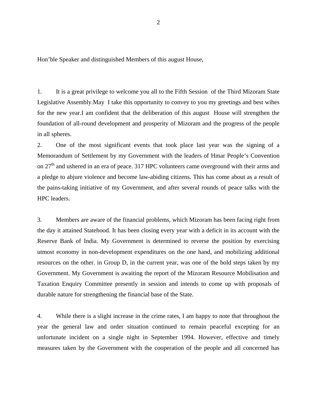Hon'ble Speaker and distinguished Members of this august House,

1. It is a great privilege to welcome you all to the Fifth Session of the Third Mizoram State Legislative Assembly.May I take this opportunity to convey to you my greetings and best wihes for the new year.I am confident that the deliberation of this august House will strengthen the foundation of all-round development and prosperity of Mizoram and the progress of the people in all spheres.

2. One of the most significant events that took place last year was the signing of a Memorandum of Settlement by my Government with the leaders of Hmar People's Convention on  $27<sup>th</sup>$  and ushered in an era of peace. 317 HPC volunteers came overground with their arms and a pledge to abjure violence and become law-abiding citizens. This has come about as a result of the pains-taking initiative of my Government, and after several rounds of peace talks with the HPC leaders.

3. Members are aware of the financial problems, which Mizoram has been facing right from the day it attained Statehood. It has been closing every year with a deficit in its account with the Reserve Bank of India. My Government is determined to reverse the position by exercising utmost economy in non-development expenditures on the one hand, and mobilizing additional resources on the other. in Group D, in the current year, was one of the bold steps taken by my Government. My Government is awaiting the report of the Mizoram Resource Mobilisation and Taxation Enquiry Committee presently in session and intends to come up with proposals of durable nature for strengthening the financial base of the State.

4. While there is a slight increase in the crime rates, I am happy to note that throughout the year the general law and order situation continued to remain peaceful excepting for an unfortunate incident on a single night in September 1994. However, effective and timely measures taken by the Government with the cooperation of the people and all concerned has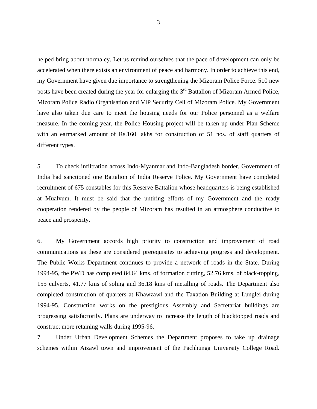helped bring about normalcy. Let us remind ourselves that the pace of development can only be accelerated when there exists an environment of peace and harmony. In order to achieve this end, my Government have given due importance to strengthening the Mizoram Police Force. 510 new posts have been created during the year for enlarging the 3<sup>rd</sup> Battalion of Mizoram Armed Police, Mizoram Police Radio Organisation and VIP Security Cell of Mizoram Police. My Government have also taken due care to meet the housing needs for our Police personnel as a welfare measure. In the coming year, the Police Housing project will be taken up under Plan Scheme with an earmarked amount of Rs.160 lakhs for construction of 51 nos. of staff quarters of different types.

5. To check infiltration across Indo-Myanmar and Indo-Bangladesh border, Government of India had sanctioned one Battalion of India Reserve Police. My Government have completed recruitment of 675 constables for this Reserve Battalion whose headquarters is being established at Mualvum. It must be said that the untiring efforts of my Government and the ready cooperation rendered by the people of Mizoram has resulted in an atmosphere conductive to peace and prosperity.

6. My Government accords high priority to construction and improvement of road communications as these are considered prerequisites to achieving progress and development. The Public Works Department continues to provide a network of roads in the State. During 1994-95, the PWD has completed 84.64 kms. of formation cutting, 52.76 kms. of black-topping, 155 culverts, 41.77 kms of soling and 36.18 kms of metalling of roads. The Department also completed construction of quarters at Khawzawl and the Taxation Building at Lunglei during 1994-95. Construction works on the prestigious Assembly and Secretariat buildings are progressing satisfactorily. Plans are underway to increase the length of blacktopped roads and construct more retaining walls during 1995-96.

7. Under Urban Development Schemes the Department proposes to take up drainage schemes within Aizawl town and improvement of the Pachhunga University College Road.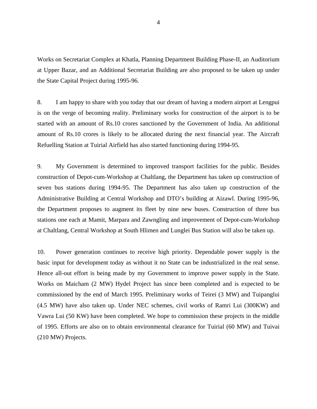Works on Secretariat Complex at Khatla, Planning Department Building Phase-II, an Auditorium at Upper Bazar, and an Additional Secretariat Building are also proposed to be taken up under the State Capital Project during 1995-96.

8. I am happy to share with you today that our dream of having a modern airport at Lengpui is on the verge of becoming reality. Preliminary works for construction of the airport is to be started with an amount of Rs.10 crores sanctioned by the Government of India. An additional amount of Rs.10 crores is likely to be allocated during the next financial year. The Aircraft Refuelling Station at Tuirial Airfield has also started functioning during 1994-95.

9. My Government is determined to improved transport facilities for the public. Besides construction of Depot-cum-Workshop at Chaltlang, the Department has taken up construction of seven bus stations during 1994-95. The Department has also taken up construction of the Administrative Building at Central Workshop and DTO's building at Aizawl. During 1995-96, the Department proposes to augment its fleet by nine new buses. Construction of three bus stations one each at Mamit, Marpara and Zawngling and improvement of Depot-cum-Workshop at Chaltlang, Central Workshop at South Hlimen and Lunglei Bus Station will also be taken up.

10. Power generation continues to receive high priority. Dependable power supply is the basic input for development today as without it no State can be industrialized in the real sense. Hence all-out effort is being made by my Government to improve power supply in the State. Works on Maicham (2 MW) Hydel Project has since been completed and is expected to be commissioned by the end of March 1995. Preliminary works of Teirei (3 MW) and Tuipanglui (4.5 MW) have also taken up. Under NEC schemes, civil works of Ramri Lui (300KW) and Vawra Lui (50 KW) have been completed. We hope to commission these projects in the middle of 1995. Efforts are also on to obtain environmental clearance for Tuirial (60 MW) and Tuivai (210 MW) Projects.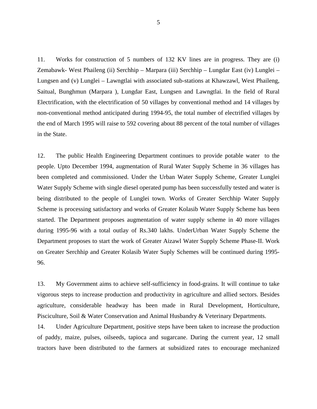11. Works for construction of 5 numbers of 132 KV lines are in progress. They are (i) Zemabawk- West Phaileng (ii) Serchhip – Marpara (iii) Serchhip – Lungdar East (iv) Lunglei – Lungsen and (v) Lunglei – Lawngtlai with associated sub-stations at Khawzawl, West Phaileng, Saitual, Bunghmun (Marpara ), Lungdar East, Lungsen and Lawngtlai. In the field of Rural Electrification, with the electrification of 50 villages by conventional method and 14 villages by non-conventional method anticipated during 1994-95, the total number of electrified villages by the end of March 1995 will raise to 592 covering about 88 percent of the total number of villages in the State.

12. The public Health Engineering Department continues to provide potable water to the people. Upto December 1994, augmentation of Rural Water Supply Scheme in 36 villages has been completed and commissioned. Under the Urban Water Supply Scheme, Greater Lunglei Water Supply Scheme with single diesel operated pump has been successfully tested and water is being distributed to the people of Lunglei town. Works of Greater Serchhip Water Supply Scheme is processing satisfactory and works of Greater Kolasib Water Supply Scheme has been started. The Department proposes augmentation of water supply scheme in 40 more villages during 1995-96 with a total outlay of Rs.340 lakhs. UnderUrban Water Supply Scheme the Department proposes to start the work of Greater Aizawl Water Supply Scheme Phase-II. Work on Greater Serchhip and Greater Kolasib Water Suply Schemes will be continued during 1995- 96.

13. My Government aims to achieve self-sufficiency in food-grains. It will continue to take vigorous steps to increase production and productivity in agriculture and allied sectors. Besides agriculture, considerable headway has been made in Rural Development, Horticulture, Pisciculture, Soil & Water Conservation and Animal Husbandry & Veterinary Departments.

14. Under Agriculture Department, positive steps have been taken to increase the production of paddy, maize, pulses, oilseeds, tapioca and sugarcane. During the current year, 12 small tractors have been distributed to the farmers at subsidized rates to encourage mechanized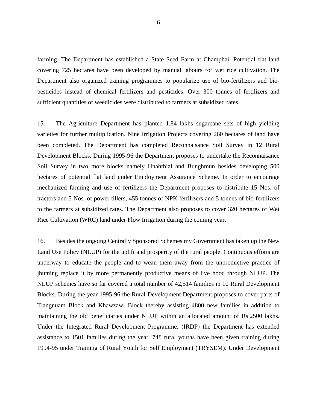farming. The Department has established a State Seed Farm at Champhai. Potential flat land covering 725 hectares have been developed by manual labours for wet rice cultivation. The Department also organized training programmes to popularize use of bio-fertilizers and biopesticides instead of chemical fertilizers and pesticides. Over 300 tonnes of fertilizers and sufficient quantities of weedicides were distributed to farmers at subsidized rates.

15. The Agriculture Department has planted 1.84 lakhs sugarcane sets of high yielding varieties for further multiplication. Nine Irrigation Projects covering 260 hectares of land have been completed. The Department has completed Reconnaisance Soil Survey in 12 Rural Development Blocks. During 1995-96 the Department proposes to undertake the Reconnaisance Soil Survey in two more blocks namely Hnahthial and Bunghmun besides developing 500 hectares of potential flat land under Employment Assurance Scheme. In order to encourage mechanized farming and use of fertilizers the Department proposes to distribute 15 Nos. of tractors and 5 Nos. of power tillers, 455 tonnes of NPK fertilizers and 5 tonnes of bio-fertilizers to the farmers at subsidized rates. The Department also proposes to cover 320 hectares of Wet Rice Cultivation (WRC) land under Flow Irrigation during the coming year.

16. Besides the ongoing Centrally Sponsored Schemes my Government has taken up the New Land Use Policy (NLUP) for the uplift and prosperity of the rural people. Continuous efforts are underway to educate the people and to wean them away from the unproductive practice of jhuming replace it by more permanently productive means of live hood through NLUP. The NLUP schemes have so far covered a total number of 42,514 families in 10 Rural Development Blocks. During the year 1995-96 the Rural Development Department proposes to cover parts of Tlangnuam Block and Khawzawl Block thereby assisting 4800 new families in addition to maintaining the old beneficiaries under NLUP within an allocated amount of Rs.2500 lakhs. Under the Integrated Rural Development Programme, (IRDP) the Department has extended assistance to 1501 families during the year. 748 rural youths have been given training during 1994-95 under Training of Rural Youth for Self Employment (TRYSEM). Under Development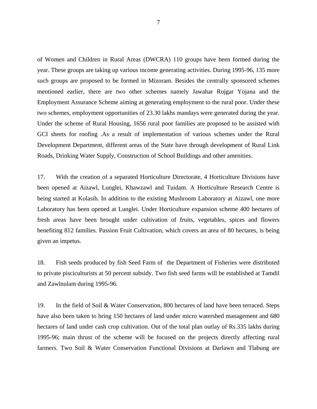of Women and Children in Rural Areas (DWCRA) 110 groups have been formed during the year. These groups are taking up various income generating activities. During 1995-96, 135 more such groups are proposed to be formed in Mizoram. Besides the centrally sponsored schemes mentioned earlier, there are two other schemes namely Jawahar Rojgar Yojana and the Employment Assurance Scheme aiming at generating employment to the rural poor. Under these two schemes, employment opportunities of 23.30 lakhs mandays were generated during the year. Under the scheme of Rural Housing, 1656 rural poor families are proposed to be assisted with GCI sheets for roofing .As a result of implementation of various schemes under the Rural Development Department, different areas of the State have through development of Rural Link Roads, Drinking Water Supply, Construction of School Buildings and other amenities.

17. With the creation of a separated Horticulture Directorate, 4 Horticulture Divisions have been opened at Aizawl, Lunglei, Khawzawl and Tuidam. A Horticulture Research Centre is being started at Kolasib. In addition to the existing Mushroom Laboratory at Aizawl, one more Laboratory has been opened at Lunglei. Under Horticulture expansion scheme 400 hectares of fresh areas have been brought under cultivation of fruits, vegetables, spices and flowers benefiting 812 families. Passion Fruit Cultivation, which covers an area of 80 hectares, is being given an impetus.

18. Fish seeds produced by fish Seed Farm of the Department of Fisheries were distributed to private pisciculturists at 50 percent subsidy. Two fish seed farms will be established at Tamdil and Zawlnulam during 1995-96.

19. In the field of Soil & Water Conservation, 800 hectares of land have been terraced. Steps have also been taken to bring 150 hectares of land under micro watershed management and 680 hectares of land under cash crop cultivation. Out of the total plan outlay of Rs.335 lakhs during 1995-96; main thrust of the scheme will be focused on the projects directly affecting rural farmers. Two Soil & Water Conservation Functional Divisions at Darlawn and Tlabung are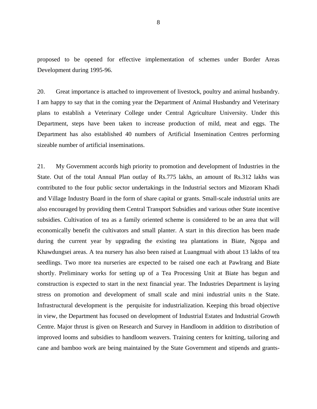proposed to be opened for effective implementation of schemes under Border Areas Development during 1995-96.

20. Great importance is attached to improvement of livestock, poultry and animal husbandry. I am happy to say that in the coming year the Department of Animal Husbandry and Veterinary plans to establish a Veterinary College under Central Agriculture University. Under this Department, steps have been taken to increase production of mild, meat and eggs. The Department has also established 40 numbers of Artificial Insemination Centres performing sizeable number of artificial inseminations.

21. My Government accords high priority to promotion and development of Industries in the State. Out of the total Annual Plan outlay of Rs.775 lakhs, an amount of Rs.312 lakhs was contributed to the four public sector undertakings in the Industrial sectors and Mizoram Khadi and Village Industry Board in the form of share capital or grants. Small-scale industrial units are also encouraged by providing them Central Transport Subsidies and various other State incentive subsidies. Cultivation of tea as a family oriented scheme is considered to be an area that will economically benefit the cultivators and small planter. A start in this direction has been made during the current year by upgrading the existing tea plantations in Biate, Ngopa and Khawdungsei areas. A tea nursery has also been raised at Luangmual with about 13 lakhs of tea seedlings. Two more tea nurseries are expected to be raised one each at Pawlrang and Biate shortly. Preliminary works for setting up of a Tea Processing Unit at Biate has begun and construction is expected to start in the next financial year. The Industries Department is laying stress on promotion and development of small scale and mini industrial units n the State. Infrastructural development is the perquisite for industrialization. Keeping this broad objective in view, the Department has focused on development of Industrial Estates and Industrial Growth Centre. Major thrust is given on Research and Survey in Handloom in addition to distribution of improved looms and subsidies to handloom weavers. Training centers for knitting, tailoring and cane and bamboo work are being maintained by the State Government and stipends and grants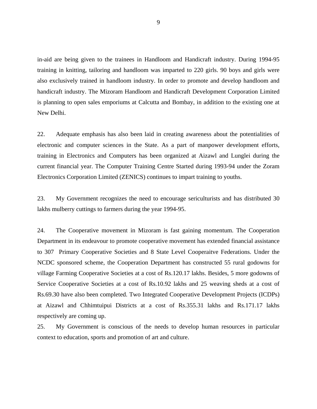in-aid are being given to the trainees in Handloom and Handicraft industry. During 1994-95 training in knitting, tailoring and handloom was imparted to 220 girls. 90 boys and girls were also exclusively trained in handloom industry. In order to promote and develop handloom and handicraft industry. The Mizoram Handloom and Handicraft Development Corporation Limited is planning to open sales emporiums at Calcutta and Bombay, in addition to the existing one at New Delhi.

22. Adequate emphasis has also been laid in creating awareness about the potentialities of electronic and computer sciences in the State. As a part of manpower development efforts, training in Electronics and Computers has been organized at Aizawl and Lunglei during the current financial year. The Computer Training Centre Started during 1993-94 under the Zoram Electronics Corporation Limited (ZENICS) continues to impart training to youths.

23. My Government recognizes the need to encourage sericulturists and has distributed 30 lakhs mulberry cuttings to farmers during the year 1994-95.

24. The Cooperative movement in Mizoram is fast gaining momentum. The Cooperation Department in its endeavour to promote cooperative movement has extended financial assistance to 307 Primary Cooperative Societies and 8 State Level Cooperaitve Federations. Under the NCDC sponsored scheme, the Cooperation Department has constructed 55 rural godowns for village Farming Cooperative Societies at a cost of Rs.120.17 lakhs. Besides, 5 more godowns of Service Cooperative Societies at a cost of Rs.10.92 lakhs and 25 weaving sheds at a cost of Rs.69.30 have also been completed. Two Integrated Cooperative Development Projects (ICDPs) at Aizawl and Chhimtuipui Districts at a cost of Rs.355.31 lakhs and Rs.171.17 lakhs respectively are coming up.

25. My Government is conscious of the needs to develop human resources in particular context to education, sports and promotion of art and culture.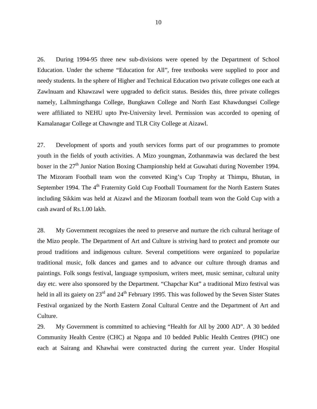26. During 1994-95 three new sub-divisions were opened by the Department of School Education. Under the scheme "Education for All", free textbooks were supplied to poor and needy students. In the sphere of Higher and Technical Education two private colleges one each at Zawlnuam and Khawzawl were upgraded to deficit status. Besides this, three private colleges namely, Lalhmingthanga College, Bungkawn College and North East Khawdungsei College were affiliated to NEHU upto Pre-University level. Permission was accorded to opening of Kamalanagar College at Chawngte and TLR City College at Aizawl.

27. Development of sports and youth services forms part of our programmes to promote youth in the fields of youth activities. A Mizo youngman, Zothanmawia was declared the best boxer in the 27<sup>th</sup> Junior Nation Boxing Championship held at Guwahati during November 1994. The Mizoram Football team won the conveted King's Cup Trophy at Thimpu, Bhutan, in September 1994. The 4<sup>th</sup> Fraternity Gold Cup Football Tournament for the North Eastern States including Sikkim was held at Aizawl and the Mizoram football team won the Gold Cup with a cash award of Rs.1.00 lakh.

28. My Government recognizes the need to preserve and nurture the rich cultural heritage of the Mizo people. The Department of Art and Culture is striving hard to protect and promote our proud traditions and indigenous culture. Several competitions were organized to popularize traditional music, folk dances and games and to advance our culture through dramas and paintings. Folk songs festival, language symposium, writers meet, music seminar, cultural unity day etc. were also sponsored by the Department. "Chapchar Kut" a traditional Mizo festival was held in all its gaiety on 23<sup>rd</sup> and 24<sup>th</sup> February 1995. This was followed by the Seven Sister States Festival organized by the North Eastern Zonal Cultural Centre and the Department of Art and Culture.

29. My Government is committed to achieving "Health for All by 2000 AD". A 30 bedded Community Health Centre (CHC) at Ngopa and 10 bedded Public Health Centres (PHC) one each at Sairang and Khawhai were constructed during the current year. Under Hospital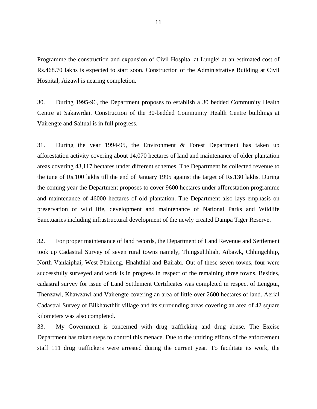Programme the construction and expansion of Civil Hospital at Lunglei at an estimated cost of Rs.468.70 lakhs is expected to start soon. Construction of the Administrative Building at Civil Hospital, Aizawl is nearing completion.

30. During 1995-96, the Department proposes to establish a 30 bedded Community Health Centre at Sakawrdai. Construction of the 30-bedded Community Health Centre buildings at Vairengte and Saitual is in full progress.

31. During the year 1994-95, the Environment & Forest Department has taken up afforestation activity covering about 14,070 hectares of land and maintenance of older plantation areas covering 43,117 hectares under different schemes. The Department hs collected revenue to the tune of Rs.100 lakhs till the end of January 1995 against the target of Rs.130 lakhs. During the coming year the Department proposes to cover 9600 hectares under afforestation programme and maintenance of 46000 hectares of old plantation. The Department also lays emphasis on preservation of wild life, development and maintenance of National Parks and Wildlife Sanctuaries including infrastructural development of the newly created Dampa Tiger Reserve.

32. For proper maintenance of land records, the Department of Land Revenue and Settlement took up Cadastral Survey of seven rural towns namely, Thingsulthliah, Aibawk, Chhingchhip, North Vanlaiphai, West Phaileng, Hnahthial and Bairabi. Out of these seven towns, four were successfully surveyed and work is in progress in respect of the remaining three towns. Besides, cadastral survey for issue of Land Settlement Certificates was completed in respect of Lengpui, Thenzawl, Khawzawl and Vairengte covering an area of little over 2600 hectares of land. Aerial Cadastral Survey of Bilkhawthlir village and its surrounding areas covering an area of 42 square kilometers was also completed.

33. My Government is concerned with drug trafficking and drug abuse. The Excise Department has taken steps to control this menace. Due to the untiring efforts of the enforcement staff 111 drug traffickers were arrested during the current year. To facilitate its work, the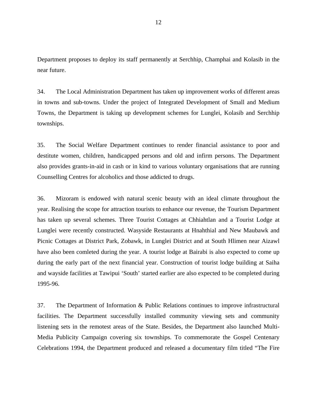Department proposes to deploy its staff permanently at Serchhip, Champhai and Kolasib in the near future.

34. The Local Administration Department has taken up improvement works of different areas in towns and sub-towns. Under the project of Integrated Development of Small and Medium Towns, the Department is taking up development schemes for Lunglei, Kolasib and Serchhip townships.

35. The Social Welfare Department continues to render financial assistance to poor and destitute women, children, handicapped persons and old and infirm persons. The Department also provides grants-in-aid in cash or in kind to various voluntary organisations that are running Counselling Centres for alcoholics and those addicted to drugs.

36. Mizoram is endowed with natural scenic beauty with an ideal climate throughout the year. Realising the scope for attraction tourists to enhance our revenue, the Tourism Department has taken up several schemes. Three Tourist Cottages at Chhiahtlan and a Tourist Lodge at Lunglei were recently constructed. Wasyside Restaurants at Hnahthial and New Maubawk and Picnic Cottages at District Park, Zobawk, in Lunglei District and at South Hlimen near Aizawl have also been comleted during the year. A tourist lodge at Bairabi is also expected to come up during the early part of the next financial year. Construction of tourist lodge building at Saiha and wayside facilities at Tawipui 'South' started earlier are also expected to be completed during 1995-96.

37. The Department of Information & Public Relations continues to improve infrastructural facilities. The Department successfully installed community viewing sets and community listening sets in the remotest areas of the State. Besides, the Department also launched Multi-Media Publicity Campaign covering six townships. To commemorate the Gospel Centenary Celebrations 1994, the Department produced and released a documentary film titled "The Fire